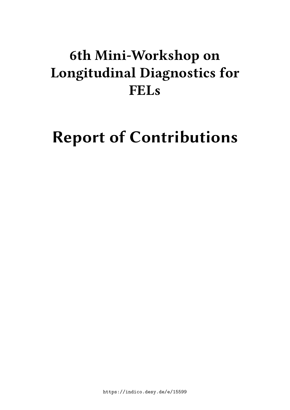# **6th Mini-Workshop on Longitudinal Diagnostics for FELs**

# **Report of Contributions**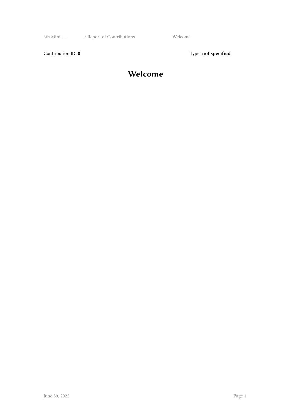6th Mini- … / Report of Contributions Welcome

Contribution ID: 0 Type: not specified

#### **Welcome**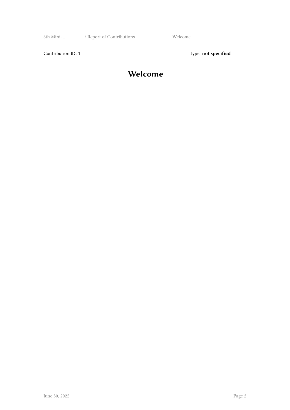6th Mini- … / Report of Contributions Welcome

Contribution ID: 1 Type: **not specified** 

#### **Welcome**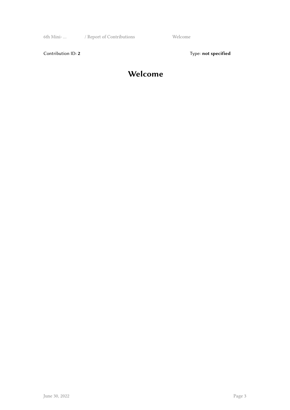6th Mini- … / Report of Contributions Welcome

Contribution ID: 2 Type: **not specified** 

#### **Welcome**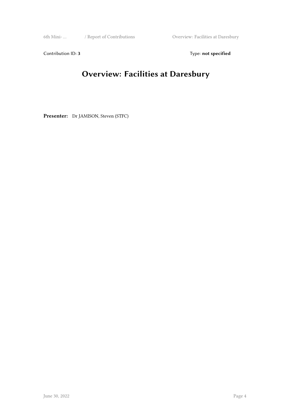6th Mini- … / Report of Contributions Overview: Facilities at Daresbury

Contribution ID: 3 Type: **not specified** 

## **Overview: Facilities at Daresbury**

**Presenter:** Dr JAMISON, Steven (STFC)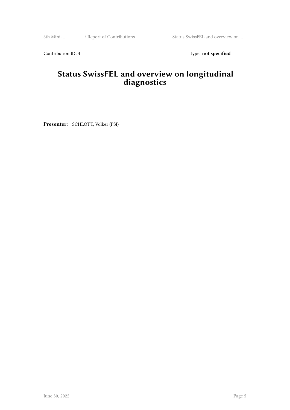6th Mini- … / Report of Contributions Status SwissFEL and overview on …

Contribution ID: 4 Type: **not specified** 

#### **Status SwissFEL and overview on longitudinal diagnostics**

**Presenter:** SCHLOTT, Volker (PSI)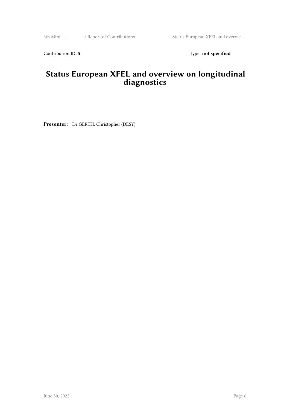6th Mini- … / Report of Contributions Status European XFEL and overvie …

Contribution ID: 5 Type: **not specified** 

#### **Status European XFEL and overview on longitudinal diagnostics**

**Presenter:** Dr GERTH, Christopher (DESY)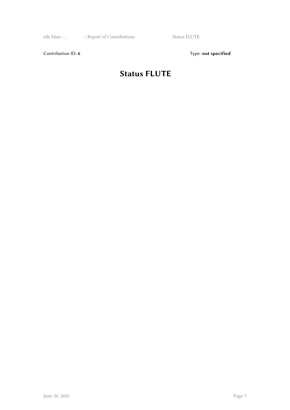6th Mini- … / Report of Contributions Status FLUTE

Contribution ID: 6 Type: not specified

## **Status FLUTE**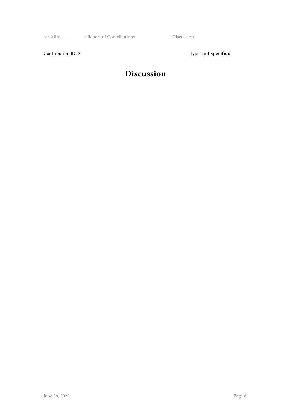6th Mini- … / Report of Contributions Discussion

Contribution ID: 7 Type: **not specified** 

#### **Discussion**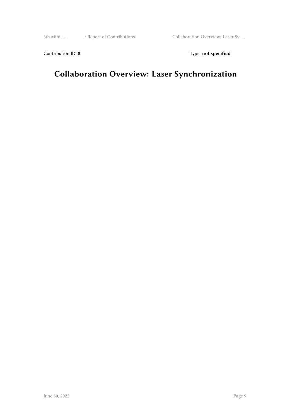6th Mini- … / Report of Contributions Collaboration Overview: Laser Sy …

Contribution ID: 8 Type: not specified

## **Collaboration Overview: Laser Synchronization**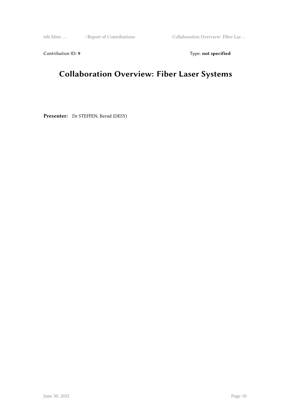6th Mini- … / Report of Contributions Collaboration Overview: Fiber Las …

Contribution ID: 9 Type: **not specified** 

## **Collaboration Overview: Fiber Laser Systems**

**Presenter:** Dr STEFFEN, Bernd (DESY)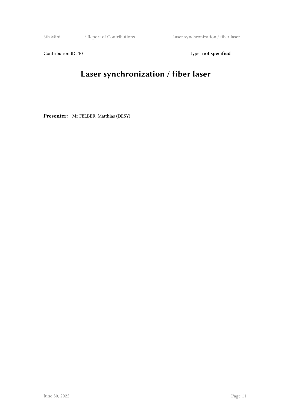Contribution ID: 10 **Type:** not specified

# **Laser synchronization / fiber laser**

**Presenter:** Mr FELBER, Matthias (DESY)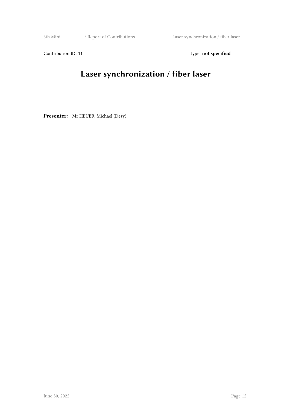Contribution ID: 11 Type: **not specified** 

## **Laser synchronization / fiber laser**

**Presenter:** Mr HEUER, Michael (Desy)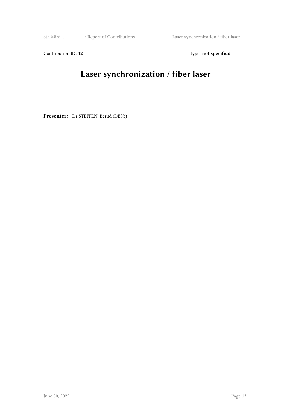Contribution ID: 12 Type: **not specified** 

# **Laser synchronization / fiber laser**

Presenter: Dr STEFFEN, Bernd (DESY)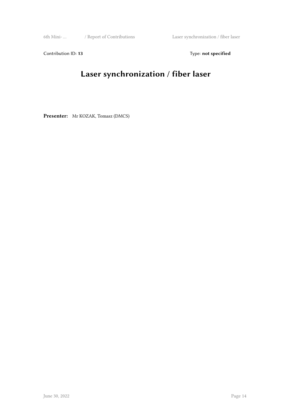Contribution ID: 13 Type: **not specified** 

# **Laser synchronization / fiber laser**

**Presenter:** Mr KOZAK, Tomasz (DMCS)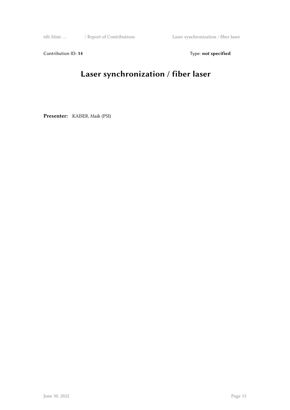Contribution ID: 14 Type: **not specified** 

# **Laser synchronization / fiber laser**

**Presenter:** KAISER, Maik (PSI)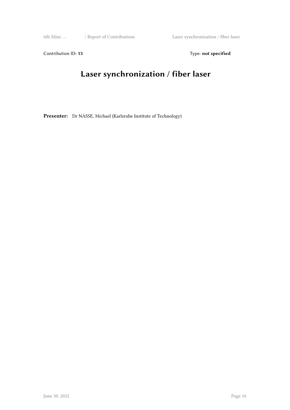Contribution ID: 15 Type: **not specified** 

## **Laser synchronization / fiber laser**

**Presenter:** Dr NASSE, Michael (Karlsruhe Institute of Technology)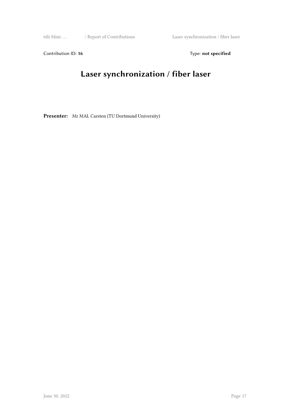Contribution ID: 16 Type: not specified

## **Laser synchronization / fiber laser**

Presenter: Mr MAI, Carsten (TU Dortmund University)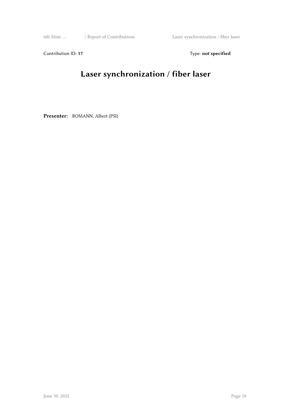Contribution ID: 17 Type: **not specified** 

# **Laser synchronization / fiber laser**

**Presenter:** ROMANN, Albert (PSI)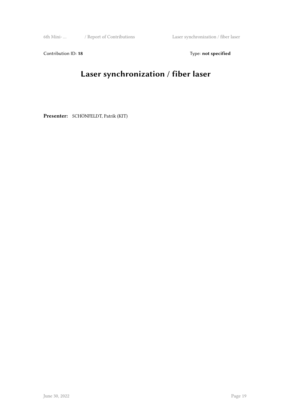Contribution ID: 18 Type: not specified

# **Laser synchronization / fiber laser**

**Presenter:** SCHÖNFELDT, Patrik (KIT)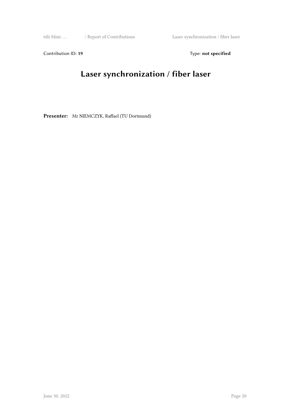Contribution ID: 19 Type: **not specified** 

## **Laser synchronization / fiber laser**

**Presenter:** Mr NIEMCZYK, Raffael (TU Dortmund)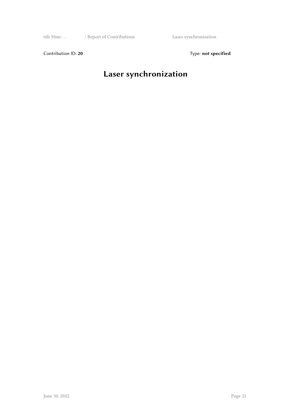6th Mini- … / Report of Contributions Laser synchronization

Contribution ID: 20 Type: **not specified** 

# **Laser synchronization**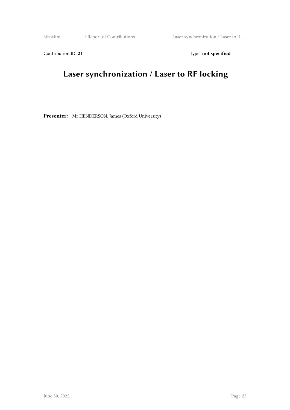6th Mini- … / Report of Contributions Laser synchronization / Laser to R …

Contribution ID: 21 Type: **not specified** 

## **Laser synchronization / Laser to RF locking**

**Presenter:** Mr HENDERSON, James (Oxford University)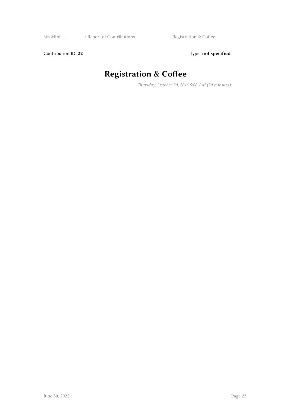6th Mini- … / Report of Contributions Registration & Coffee

Contribution ID: 22 Type: **not specified** 

# **Registration & Coffee**

*Thursday, October 20, 2016 9:00 AM (30 minutes)*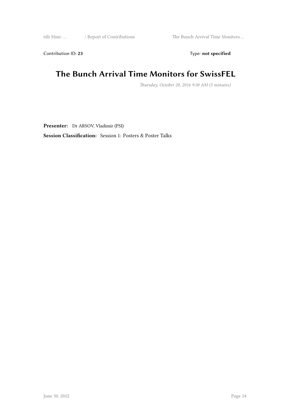6th Mini- … / Report of Contributions The Bunch Arrival Time Monitors …

Contribution ID: 23 Type: **not specified** 

#### **The Bunch Arrival Time Monitors for SwissFEL**

*Thursday, October 20, 2016 9:30 AM (5 minutes)*

**Presenter:** Dr ARSOV, Vladimir (PSI)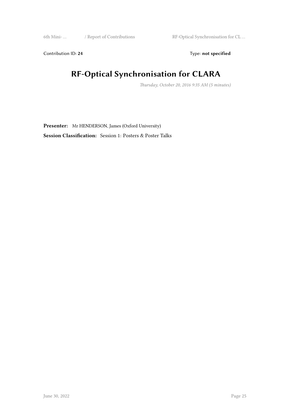6th Mini- … / Report of Contributions RF-Optical Synchronisation for CL …

Contribution ID: 24 Type: **not specified** 

## **RF-Optical Synchronisation for CLARA**

*Thursday, October 20, 2016 9:35 AM (5 minutes)*

**Presenter:** Mr HENDERSON, James (Oxford University)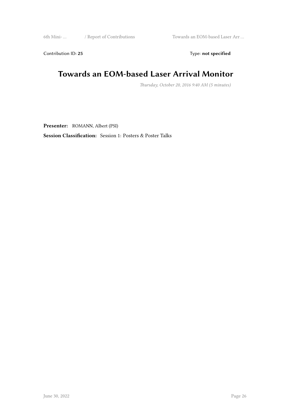6th Mini- … / Report of Contributions Towards an EOM-based Laser Arr …

Contribution ID: 25 Type: **not specified** 

#### **Towards an EOM-based Laser Arrival Monitor**

*Thursday, October 20, 2016 9:40 AM (5 minutes)*

**Presenter:** ROMANN, Albert (PSI)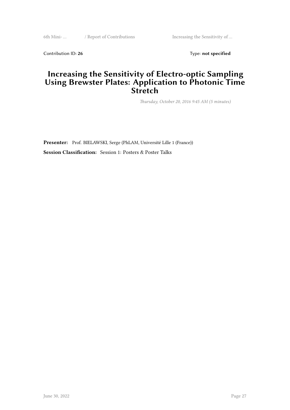6th Mini- … / Report of Contributions Increasing the Sensitivity of …

Contribution ID: 26 Type: **not specified** 

#### **Increasing the Sensitivity of Electro-optic Sampling Using Brewster Plates: Application to Photonic Time Stretch**

*Thursday, October 20, 2016 9:45 AM (5 minutes)*

**Presenter:** Prof. BIELAWSKI, Serge (PhLAM, Université Lille 1 (France)) **Session Classification:** Session 1: Posters & Poster Talks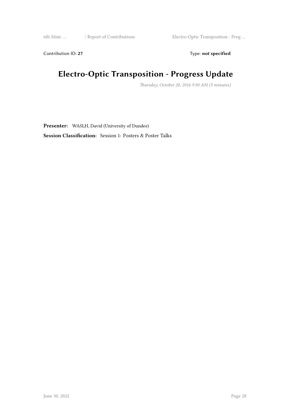6th Mini- … / Report of Contributions Electro-Optic Transposition - Prog …

Contribution ID: 27 Type: **not specified** 

## **Electro-Optic Transposition - Progress Update**

*Thursday, October 20, 2016 9:50 AM (5 minutes)*

**Presenter:** WASLH, David (University of Dundee)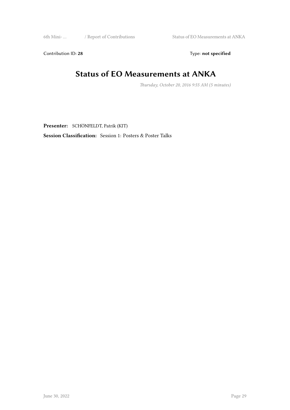6th Mini- … / Report of Contributions Status of EO Measurements at ANKA

Contribution ID: 28 Type: **not specified** 

#### **Status of EO Measurements at ANKA**

*Thursday, October 20, 2016 9:55 AM (5 minutes)*

**Presenter:** SCHÖNFELDT, Patrik (KIT)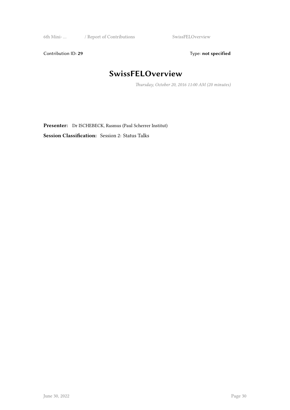6th Mini- … / Report of Contributions SwissFELOverview

Contribution ID: 29 Type: **not specified** 

## **SwissFELOverview**

*Thursday, October 20, 2016 11:00 AM (20 minutes)*

**Presenter:** Dr ISCHEBECK, Rasmus (Paul Scherrer Institut)

**Session Classification:** Session 2: Status Talks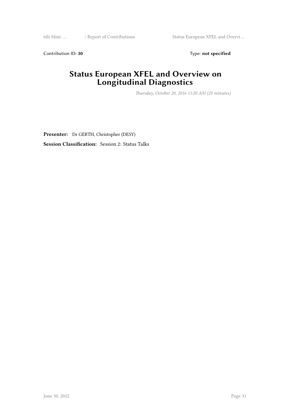6th Mini- … / Report of Contributions Status European XFEL and Overvi …

Contribution ID: 30 Type: **not specified** 

#### **Status European XFEL and Overview on Longitudinal Diagnostics**

*Thursday, October 20, 2016 11:20 AM (20 minutes)*

**Presenter:** Dr GERTH, Christopher (DESY) **Session Classification:** Session 2: Status Talks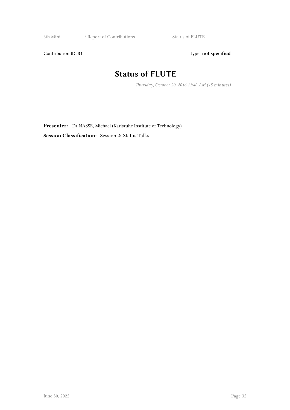6th Mini- … / Report of Contributions Status of FLUTE

Contribution ID: 31 Type: **not specified** 

## **Status of FLUTE**

*Thursday, October 20, 2016 11:40 AM (15 minutes)*

**Presenter:** Dr NASSE, Michael (Karlsruhe Institute of Technology) **Session Classification:** Session 2: Status Talks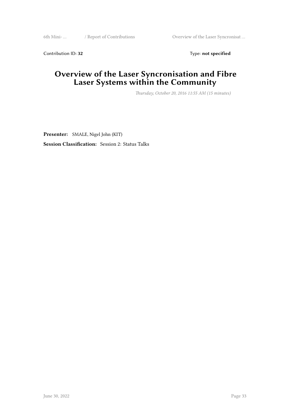6th Mini- … / Report of Contributions Overview of the Laser Syncronisat …

Contribution ID: 32 Type: **not specified** 

#### **Overview of the Laser Syncronisation and Fibre Laser Systems within the Community**

*Thursday, October 20, 2016 11:55 AM (15 minutes)*

**Presenter:** SMALE, Nigel John (KIT) **Session Classification:** Session 2: Status Talks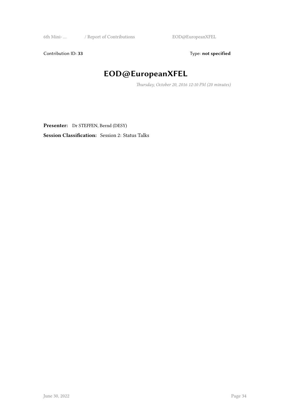6th Mini- … / Report of Contributions EOD@EuropeanXFEL

Contribution ID: 33 Type: **not specified** 

## **EOD@EuropeanXFEL**

*Thursday, October 20, 2016 12:10 PM (20 minutes)*

Presenter: Dr STEFFEN, Bernd (DESY)

**Session Classification:** Session 2: Status Talks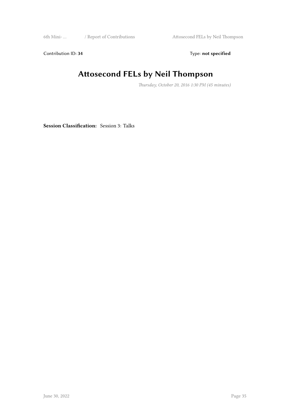6th Mini- … / Report of Contributions Attosecond FELs by Neil Thompson

Contribution ID: 34 Type: **not specified** 

## **Attosecond FELs by Neil Thompson**

*Thursday, October 20, 2016 1:30 PM (45 minutes)*

**Session Classification:** Session 3: Talks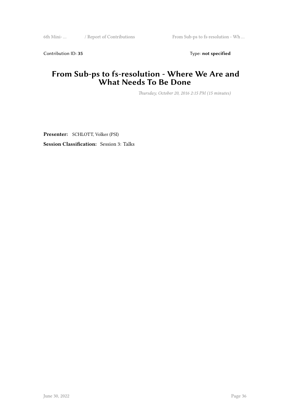6th Mini- … / Report of Contributions From Sub-ps to fs-resolution - Wh …

Contribution ID: 35 Type: **not specified** 

#### **From Sub-ps to fs-resolution - Where We Are and What Needs To Be Done**

*Thursday, October 20, 2016 2:15 PM (15 minutes)*

**Presenter:** SCHLOTT, Volker (PSI) **Session Classification:** Session 3: Talks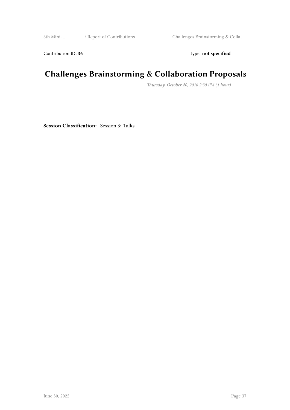6th Mini- … / Report of Contributions Challenges Brainstorming & Colla …

Contribution ID: 36 Type: **not specified** 

## **Challenges Brainstorming & Collaboration Proposals**

*Thursday, October 20, 2016 2:30 PM (1 hour)*

**Session Classification:** Session 3: Talks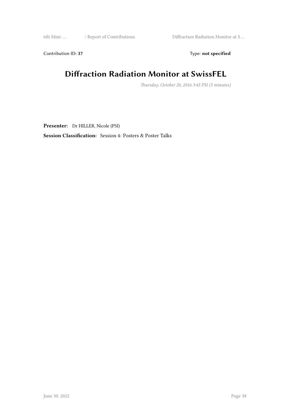6th Mini- … / Report of Contributions Diffraction Radiation Monitor at S …

Contribution ID: 37 Type: **not specified** 

#### **Diffraction Radiation Monitor at SwissFEL**

*Thursday, October 20, 2016 3:45 PM (5 minutes)*

**Presenter:** Dr HILLER, Nicole (PSI)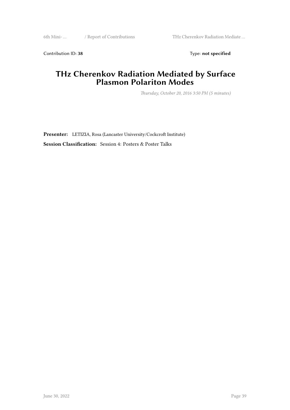6th Mini- … / Report of Contributions THz Cherenkov Radiation Mediate …

Contribution ID: 38 Type: **not specified** 

#### **THz Cherenkov Radiation Mediated by Surface Plasmon Polariton Modes**

*Thursday, October 20, 2016 3:50 PM (5 minutes)*

**Presenter:** LETIZIA, Rosa (Lancaster University/Cockcroft Institute) **Session Classification:** Session 4: Posters & Poster Talks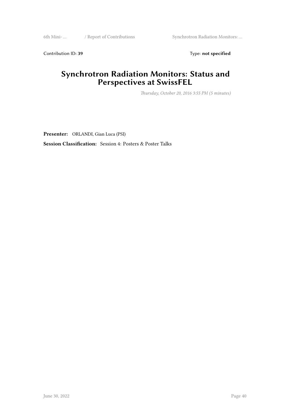6th Mini- … / Report of Contributions Synchrotron Radiation Monitors: …

Contribution ID: 39 Type: **not specified** 

#### **Synchrotron Radiation Monitors: Status and Perspectives at SwissFEL**

*Thursday, October 20, 2016 3:55 PM (5 minutes)*

**Presenter:** ORLANDI, Gian Luca (PSI)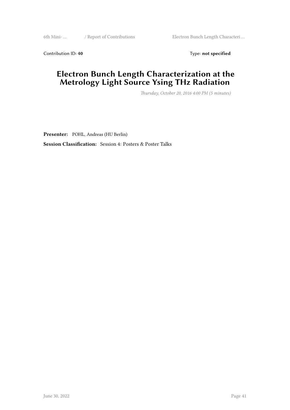6th Mini- … / Report of Contributions Electron Bunch Length Characteri …

Contribution ID: 40 Type: not specified

#### **Electron Bunch Length Characterization at the Metrology Light Source Ysing THz Radiation**

*Thursday, October 20, 2016 4:00 PM (5 minutes)*

**Presenter:** POHL, Andreas (HU Berlin)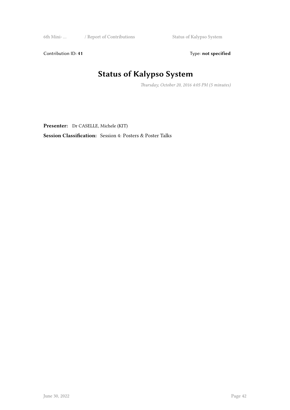6th Mini- … / Report of Contributions Status of Kalypso System

Contribution ID: 41 Type: **not specified** 

# **Status of Kalypso System**

*Thursday, October 20, 2016 4:05 PM (5 minutes)*

**Presenter:** Dr CASELLE, Michele (KIT)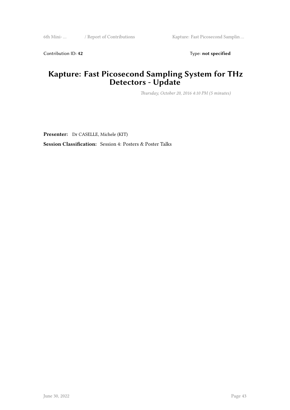6th Mini- … / Report of Contributions Kapture: Fast Picosecond Samplin …

Contribution ID: 42 Type: **not specified** 

#### **Kapture: Fast Picosecond Sampling System for THz Detectors - Update**

*Thursday, October 20, 2016 4:10 PM (5 minutes)*

**Presenter:** Dr CASELLE, Michele (KIT)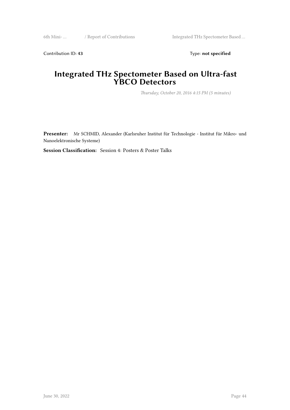6th Mini- ... / Report of Contributions Integrated THz Spectometer Based ...

Contribution ID: 43 Type: **not specified** 

#### **Integrated THz Spectometer Based on Ultra-fast YBCO Detectors**

*Thursday, October 20, 2016 4:15 PM (5 minutes)*

**Presenter:** Mr SCHMID, Alexander (Karlsruher Institut für Technologie - Institut für Mikro- und Nanoelektronische Systeme)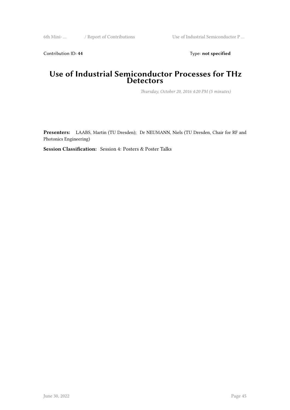6th Mini- … / Report of Contributions Use of Industrial Semiconductor P …

Contribution ID: 44 Type: **not specified** 

#### **Use of Industrial Semiconductor Processes for THz Detectors**

*Thursday, October 20, 2016 4:20 PM (5 minutes)*

**Presenters:** LAABS, Martin (TU Dresden); Dr NEUMANN, Niels (TU Dresden, Chair for RF and Photonics Engineering)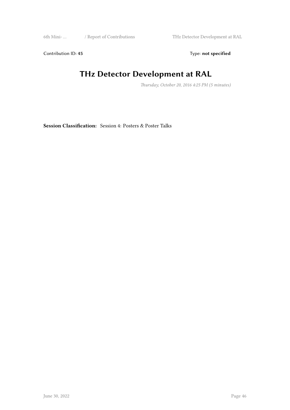6th Mini- … / Report of Contributions THz Detector Development at RAL

Contribution ID: 45 Type: **not specified** 

#### **THz Detector Development at RAL**

*Thursday, October 20, 2016 4:25 PM (5 minutes)*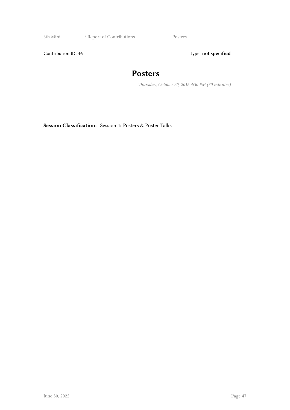6th Mini- … / Report of Contributions Posters

Contribution ID: 46 Type: **not specified** 

#### **Posters**

*Thursday, October 20, 2016 4:30 PM (30 minutes)*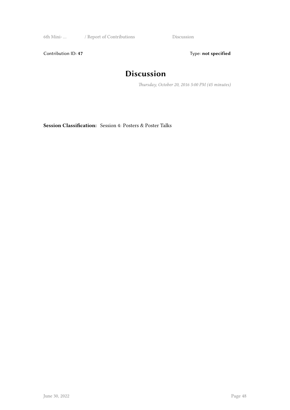6th Mini- … / Report of Contributions Discussion

Contribution ID: 47 Type: **not specified** 

#### **Discussion**

*Thursday, October 20, 2016 5:00 PM (45 minutes)*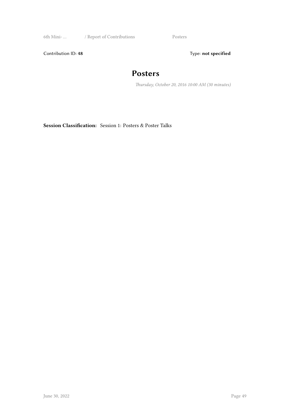6th Mini- … / Report of Contributions Posters

Contribution ID: 48 Type: **not specified** 

#### **Posters**

*Thursday, October 20, 2016 10:00 AM (30 minutes)*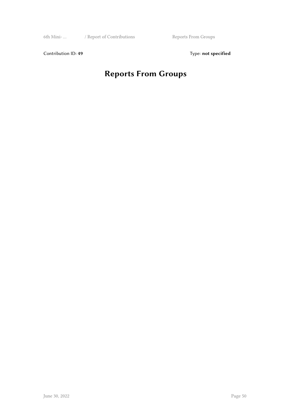6th Mini- … / Report of Contributions Reports From Groups

Contribution ID: 49 Type: **not specified** 

## **Reports From Groups**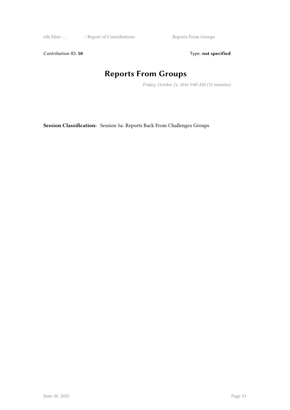6th Mini- … / Report of Contributions Reports From Groups

Contribution ID: 50 Type: not specified

#### **Reports From Groups**

*Friday, October 21, 2016 9:00 AM (15 minutes)*

**Session Classification:** Session 5a: Reports Back From Challenges Groups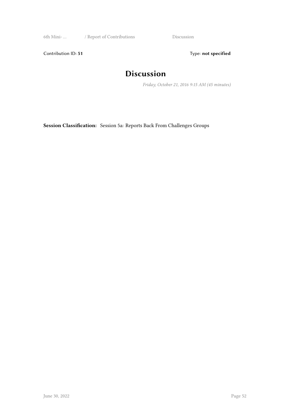6th Mini- … / Report of Contributions Discussion

Contribution ID: 51 Type: **not specified** 

#### **Discussion**

*Friday, October 21, 2016 9:15 AM (45 minutes)*

**Session Classification:** Session 5a: Reports Back From Challenges Groups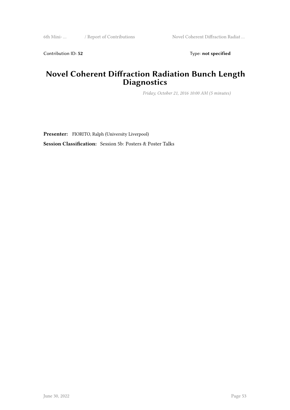6th Mini- … / Report of Contributions Novel Coherent Diffraction Radiat …

Contribution ID: 52 Type: **not specified** 

#### **Novel Coherent Diffraction Radiation Bunch Length Diagnostics**

*Friday, October 21, 2016 10:00 AM (5 minutes)*

Presenter: FIORITO, Ralph (University Liverpool) **Session Classification:** Session 5b: Posters & Poster Talks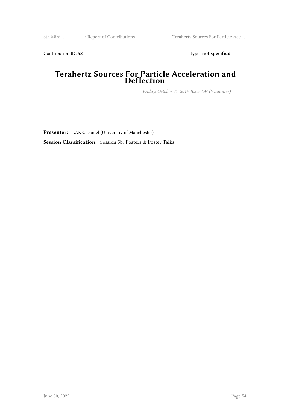6th Mini- … / Report of Contributions Terahertz Sources For Particle Acc …

Contribution ID: 53 Type: **not specified** 

#### **Terahertz Sources For Particle Acceleration and Deflection**

*Friday, October 21, 2016 10:05 AM (5 minutes)*

**Presenter:** LAKE, Daniel (Universtiy of Manchester)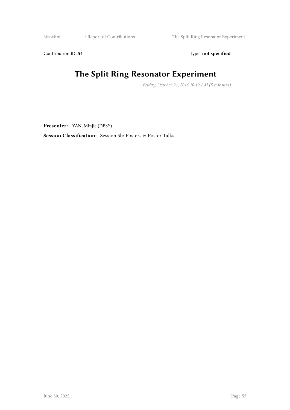6th Mini- … / Report of Contributions The Split Ring Resonator Experiment

Contribution ID: 54 Type: **not specified** 

## **The Split Ring Resonator Experiment**

*Friday, October 21, 2016 10:10 AM (5 minutes)*

**Presenter:** YAN, Minjie (DESY)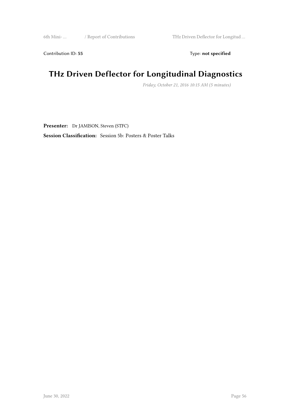6th Mini- … / Report of Contributions THz Driven Deflector for Longitud …

Contribution ID: 55 Type: not specified

## **THz Driven Deflector for Longitudinal Diagnostics**

*Friday, October 21, 2016 10:15 AM (5 minutes)*

**Presenter:** Dr JAMISON, Steven (STFC)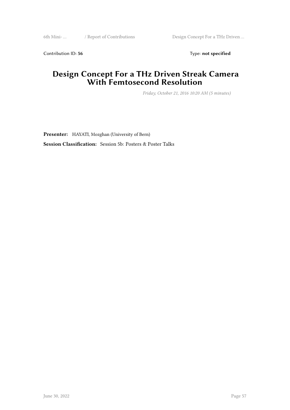6th Mini- … / Report of Contributions Design Concept For a THz Driven …

Contribution ID: 56 Type: **not specified** 

#### **Design Concept For a THz Driven Streak Camera With Femtosecond Resolution**

*Friday, October 21, 2016 10:20 AM (5 minutes)*

**Presenter:** HAYATI, Mozghan (University of Bern) **Session Classification:** Session 5b: Posters & Poster Talks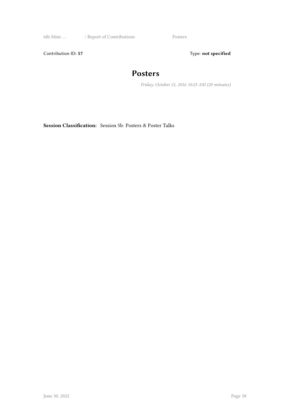6th Mini- … / Report of Contributions Posters

Contribution ID: 57 Type: **not specified** 

#### **Posters**

*Friday, October 21, 2016 10:25 AM (20 minutes)*